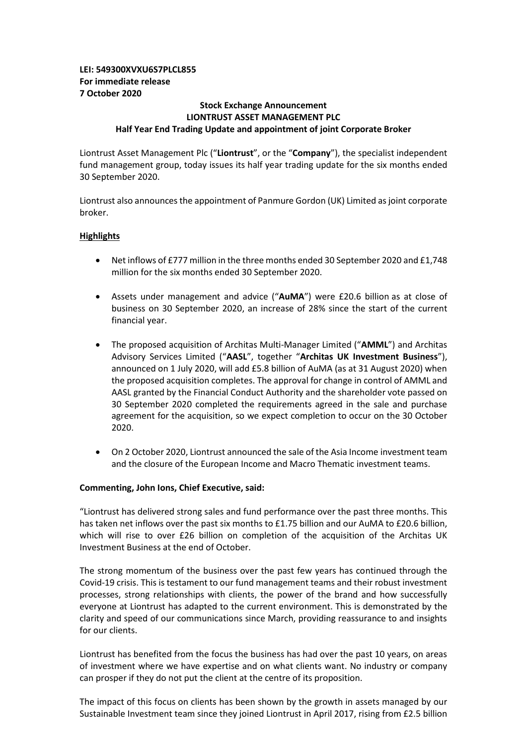# **LEI: 549300XVXU6S7PLCL855 For immediate release 7 October 2020**

## **Stock Exchange Announcement LIONTRUST ASSET MANAGEMENT PLC Half Year End Trading Update and appointment of joint Corporate Broker**

Liontrust Asset Management Plc ("**Liontrust**", or the "**Company**"), the specialist independent fund management group, today issues its half year trading update for the six months ended 30 September 2020.

Liontrust also announces the appointment of Panmure Gordon (UK) Limited as joint corporate broker.

# **Highlights**

- Net inflows of £777 million in the three months ended 30 September 2020 and £1,748 million for the six months ended 30 September 2020.
- Assets under management and advice ("**AuMA**") were £20.6 billion as at close of business on 30 September 2020, an increase of 28% since the start of the current financial year.
- The proposed acquisition of Architas Multi-Manager Limited ("**AMML**") and Architas Advisory Services Limited ("**AASL**", together "**Architas UK Investment Business**"), announced on 1 July 2020, will add £5.8 billion of AuMA (as at 31 August 2020) when the proposed acquisition completes. The approval for change in control of AMML and AASL granted by the Financial Conduct Authority and the shareholder vote passed on 30 September 2020 completed the requirements agreed in the sale and purchase agreement for the acquisition, so we expect completion to occur on the 30 October 2020.
- On 2 October 2020, Liontrust announced the sale of the Asia Income investment team and the closure of the European Income and Macro Thematic investment teams.

## **Commenting, John Ions, Chief Executive, said:**

"Liontrust has delivered strong sales and fund performance over the past three months. This has taken net inflows over the past six months to £1.75 billion and our AuMA to £20.6 billion, which will rise to over £26 billion on completion of the acquisition of the Architas UK Investment Business at the end of October.

The strong momentum of the business over the past few years has continued through the Covid-19 crisis. This is testament to our fund management teams and their robust investment processes, strong relationships with clients, the power of the brand and how successfully everyone at Liontrust has adapted to the current environment. This is demonstrated by the clarity and speed of our communications since March, providing reassurance to and insights for our clients.

Liontrust has benefited from the focus the business has had over the past 10 years, on areas of investment where we have expertise and on what clients want. No industry or company can prosper if they do not put the client at the centre of its proposition.

The impact of this focus on clients has been shown by the growth in assets managed by our Sustainable Investment team since they joined Liontrust in April 2017, rising from £2.5 billion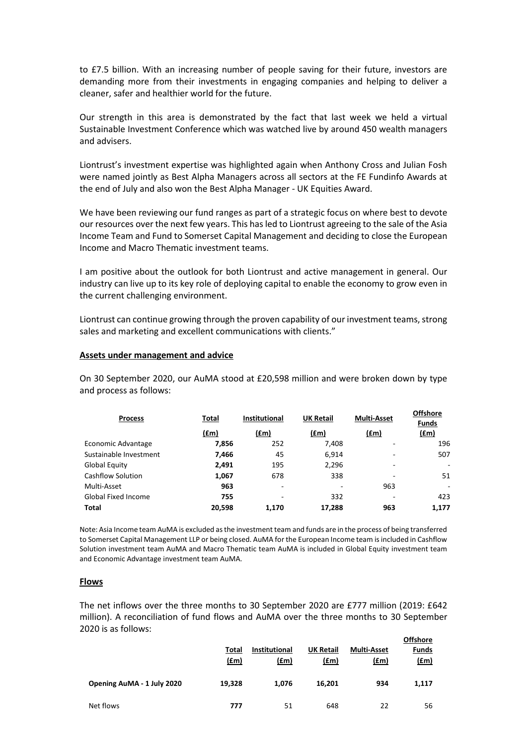to £7.5 billion. With an increasing number of people saving for their future, investors are demanding more from their investments in engaging companies and helping to deliver a cleaner, safer and healthier world for the future.

Our strength in this area is demonstrated by the fact that last week we held a virtual Sustainable Investment Conference which was watched live by around 450 wealth managers and advisers.

Liontrust's investment expertise was highlighted again when Anthony Cross and Julian Fosh were named jointly as Best Alpha Managers across all sectors at the FE Fundinfo Awards at the end of July and also won the Best Alpha Manager - UK Equities Award.

We have been reviewing our fund ranges as part of a strategic focus on where best to devote our resources over the next few years. This has led to Liontrust agreeing to the sale of the Asia Income Team and Fund to Somerset Capital Management and deciding to close the European Income and Macro Thematic investment teams.

I am positive about the outlook for both Liontrust and active management in general. Our industry can live up to its key role of deploying capital to enable the economy to grow even in the current challenging environment.

Liontrust can continue growing through the proven capability of our investment teams, strong sales and marketing and excellent communications with clients."

#### **Assets under management and advice**

On 30 September 2020, our AuMA stood at £20,598 million and were broken down by type and process as follows:

| <b>Process</b>           | Total  | <b>Institutional</b>     | <b>UK Retail</b> | <b>Multi-Asset</b> | <b>Offshore</b><br><b>Funds</b> |
|--------------------------|--------|--------------------------|------------------|--------------------|---------------------------------|
|                          | (fm)   | <u>(£m)</u>              | (£m)             | $(\text{fm})$      | <u>(£m)</u>                     |
| Economic Advantage       | 7,856  | 252                      | 7,408            |                    | 196                             |
| Sustainable Investment   | 7,466  | 45                       | 6.914            |                    | 507                             |
| Global Equity            | 2.491  | 195                      | 2,296            |                    | $\overline{\phantom{a}}$        |
| <b>Cashflow Solution</b> | 1,067  | 678                      | 338              |                    | 51                              |
| Multi-Asset              | 963    | $\overline{\phantom{a}}$ | ۰                | 963                | ٠                               |
| Global Fixed Income      | 755    | $\overline{\phantom{0}}$ | 332              |                    | 423                             |
| Total                    | 20,598 | 1,170                    | 17,288           | 963                | 1,177                           |

Note: Asia Income team AuMA is excluded as the investment team and funds are in the process of being transferred to Somerset Capital Management LLP or being closed. AuMA for the European Income team is included in Cashflow Solution investment team AuMA and Macro Thematic team AuMA is included in Global Equity investment team and Economic Advantage investment team AuMA.

#### **Flows**

The net inflows over the three months to 30 September 2020 are £777 million (2019: £642 million). A reconciliation of fund flows and AuMA over the three months to 30 September 2020 is as follows: **Offshore** 

|                            | Total<br>(f.m) | <b>Institutional</b><br>(fm) | <b>UK Retail</b><br><u>(£m)</u> | <b>Multi-Asset</b><br>(fm) | <b>Offshore</b><br><b>Funds</b><br><u>(£m)</u> |
|----------------------------|----------------|------------------------------|---------------------------------|----------------------------|------------------------------------------------|
| Opening AuMA - 1 July 2020 | 19,328         | 1.076                        | 16.201                          | 934                        | 1,117                                          |
| Net flows                  | 777            | 51                           | 648                             | 22                         | 56                                             |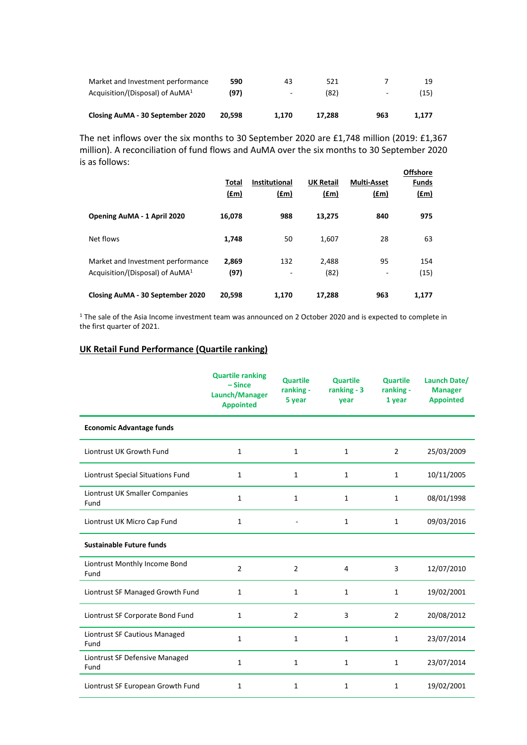| Market and Investment performance           | 590    | 43                       | 521    |     |       |
|---------------------------------------------|--------|--------------------------|--------|-----|-------|
| Acquisition/(Disposal) of AuMA <sup>1</sup> | (97)   | $\overline{\phantom{a}}$ | (82)   | -   | (15)  |
| Closing AuMA - 30 September 2020            | 20.598 | 1.170                    | 17.288 | 963 | 1.177 |

The net inflows over the six months to 30 September 2020 are £1,748 million (2019: £1,367 million). A reconciliation of fund flows and AuMA over the six months to 30 September 2020 is as follows: **Offshore** 

|                                                                                  | Total<br>$(\text{fm})$ | <b>Institutional</b><br><u>(£m)</u> | <b>UK Retail</b><br>$(\text{fm})$ | <b>Multi-Asset</b><br>(fm) | <b>Offshore</b><br><b>Funds</b><br>$(f_m)$ |
|----------------------------------------------------------------------------------|------------------------|-------------------------------------|-----------------------------------|----------------------------|--------------------------------------------|
| Opening AuMA - 1 April 2020                                                      | 16,078                 | 988                                 | 13,275                            | 840                        | 975                                        |
| Net flows                                                                        | 1,748                  | 50                                  | 1,607                             | 28                         | 63                                         |
| Market and Investment performance<br>Acquisition/(Disposal) of AuMA <sup>1</sup> | 2,869<br>(97)          | 132<br>٠                            | 2,488<br>(82)                     | 95<br>$\qquad \qquad -$    | 154<br>(15)                                |
| Closing AuMA - 30 September 2020                                                 | 20,598                 | 1.170                               | 17,288                            | 963                        | 1.177                                      |

<sup>1</sup> The sale of the Asia Income investment team was announced on 2 October 2020 and is expected to complete in the first quarter of 2021.

# **UK Retail Fund Performance (Quartile ranking)**

|                                        | <b>Quartile ranking</b><br>$-Since$<br>Launch/Manager<br><b>Appointed</b> | <b>Quartile</b><br>ranking -<br>5 year | <b>Quartile</b><br>ranking - 3<br>year | <b>Quartile</b><br>ranking -<br>1 year | Launch Date/<br><b>Manager</b><br><b>Appointed</b> |
|----------------------------------------|---------------------------------------------------------------------------|----------------------------------------|----------------------------------------|----------------------------------------|----------------------------------------------------|
| <b>Economic Advantage funds</b>        |                                                                           |                                        |                                        |                                        |                                                    |
| Liontrust UK Growth Fund               | $\mathbf{1}$                                                              | $\mathbf{1}$                           | $\mathbf{1}$                           | $\overline{2}$                         | 25/03/2009                                         |
| Liontrust Special Situations Fund      | $\mathbf{1}$                                                              | 1                                      | 1                                      | $\mathbf{1}$                           | 10/11/2005                                         |
| Liontrust UK Smaller Companies<br>Fund | $\mathbf{1}$                                                              | 1                                      | 1                                      | $\mathbf{1}$                           | 08/01/1998                                         |
| Liontrust UK Micro Cap Fund            | $\mathbf{1}$                                                              |                                        | $\mathbf{1}$                           | $\mathbf{1}$                           | 09/03/2016                                         |
| <b>Sustainable Future funds</b>        |                                                                           |                                        |                                        |                                        |                                                    |
| Liontrust Monthly Income Bond<br>Fund  | $\overline{2}$                                                            | $\overline{2}$                         | 4                                      | 3                                      | 12/07/2010                                         |
| Liontrust SF Managed Growth Fund       | $\mathbf{1}$                                                              | $\mathbf{1}$                           | $\mathbf{1}$                           | $\mathbf{1}$                           | 19/02/2001                                         |
| Liontrust SF Corporate Bond Fund       | $\mathbf{1}$                                                              | $\overline{2}$                         | 3                                      | $\overline{2}$                         | 20/08/2012                                         |
| Liontrust SF Cautious Managed<br>Fund  | $\mathbf{1}$                                                              | 1                                      | 1                                      | $\mathbf{1}$                           | 23/07/2014                                         |
| Liontrust SF Defensive Managed<br>Fund | $\mathbf{1}$                                                              | $\mathbf{1}$                           | $\mathbf{1}$                           | $\mathbf{1}$                           | 23/07/2014                                         |
| Liontrust SF European Growth Fund      | 1                                                                         | 1                                      | 1                                      | $\mathbf{1}$                           | 19/02/2001                                         |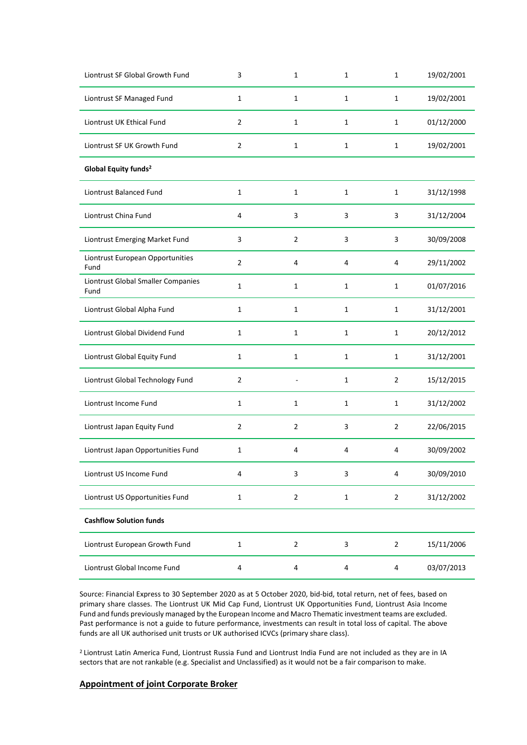| Liontrust SF Global Growth Fund            | 3              | 1              | 1            | $\mathbf{1}$   | 19/02/2001 |
|--------------------------------------------|----------------|----------------|--------------|----------------|------------|
| Liontrust SF Managed Fund                  | $\mathbf{1}$   | 1              | $\mathbf{1}$ | $\mathbf{1}$   | 19/02/2001 |
| Liontrust UK Ethical Fund                  | $\overline{2}$ | 1              | 1            | $\mathbf{1}$   | 01/12/2000 |
| Liontrust SF UK Growth Fund                | $\overline{2}$ | $\mathbf{1}$   | 1            | $\mathbf{1}$   | 19/02/2001 |
| Global Equity funds <sup>2</sup>           |                |                |              |                |            |
| Liontrust Balanced Fund                    | $\mathbf{1}$   | $\mathbf{1}$   | $\mathbf{1}$ | $\mathbf{1}$   | 31/12/1998 |
| Liontrust China Fund                       | $\overline{4}$ | 3              | 3            | 3              | 31/12/2004 |
| Liontrust Emerging Market Fund             | 3              | $\overline{2}$ | 3            | 3              | 30/09/2008 |
| Liontrust European Opportunities<br>Fund   | $\overline{2}$ | 4              | 4            | 4              | 29/11/2002 |
| Liontrust Global Smaller Companies<br>Fund | 1              | 1              | 1            | 1              | 01/07/2016 |
| Liontrust Global Alpha Fund                | 1              | $\mathbf{1}$   | $\mathbf{1}$ | $\mathbf{1}$   | 31/12/2001 |
| Liontrust Global Dividend Fund             | $\mathbf{1}$   | $\mathbf{1}$   | $\mathbf{1}$ | $\mathbf{1}$   | 20/12/2012 |
| Liontrust Global Equity Fund               | $\mathbf{1}$   | $\mathbf{1}$   | $\mathbf{1}$ | $\mathbf{1}$   | 31/12/2001 |
| Liontrust Global Technology Fund           | $\overline{2}$ |                | $\mathbf{1}$ | $\overline{2}$ | 15/12/2015 |
| Liontrust Income Fund                      | $\mathbf{1}$   | $\mathbf{1}$   | 1            | $\mathbf{1}$   | 31/12/2002 |
| Liontrust Japan Equity Fund                | $\overline{2}$ | $\overline{2}$ | 3            | $\overline{2}$ | 22/06/2015 |
| Liontrust Japan Opportunities Fund         | 1              | 4              | 4            | 4              | 30/09/2002 |
| Liontrust US Income Fund                   | 4              | 3              | 3            | 4              | 30/09/2010 |
| Liontrust US Opportunities Fund            | $\mathbf 1$    | $\overline{2}$ | $\mathbf 1$  | $\overline{2}$ | 31/12/2002 |
| <b>Cashflow Solution funds</b>             |                |                |              |                |            |
| Liontrust European Growth Fund             | $\mathbf{1}$   | $\overline{2}$ | 3            | $\overline{2}$ | 15/11/2006 |
| Liontrust Global Income Fund               | 4              | 4              | 4            | 4              | 03/07/2013 |

Source: Financial Express to 30 September 2020 as at 5 October 2020, bid-bid, total return, net of fees, based on primary share classes. The Liontrust UK Mid Cap Fund, Liontrust UK Opportunities Fund, Liontrust Asia Income Fund and funds previously managed by the European Income and Macro Thematic investment teams are excluded. Past performance is not a guide to future performance, investments can result in total loss of capital. The above funds are all UK authorised unit trusts or UK authorised ICVCs (primary share class).

<sup>2</sup> Liontrust Latin America Fund, Liontrust Russia Fund and Liontrust India Fund are not included as they are in IA sectors that are not rankable (e.g. Specialist and Unclassified) as it would not be a fair comparison to make.

### **Appointment of joint Corporate Broker**